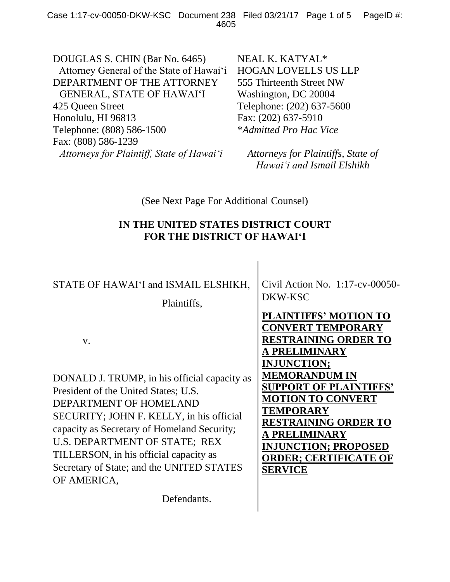DOUGLAS S. CHIN (Bar No. 6465) Attorney General of the State of Hawai'i DEPARTMENT OF THE ATTORNEY GENERAL, STATE OF HAWAI'I 425 Queen Street Honolulu, HI 96813 Telephone: (808) 586-1500 Fax: (808) 586-1239 *Attorneys for Plaintiff, State of Hawai'i*

NEAL K. KATYAL\* HOGAN LOVELLS US LLP 555 Thirteenth Street NW Washington, DC 20004 Telephone: (202) 637-5600 Fax: (202) 637-5910 \**Admitted Pro Hac Vice*

*Attorneys for Plaintiffs, State of Hawai'i and Ismail Elshikh*

(See Next Page For Additional Counsel)

## **IN THE UNITED STATES DISTRICT COURT FOR THE DISTRICT OF HAWAI'I**

STATE OF HAWAI'I and ISMAIL ELSHIKH, Plaintiffs, v. DONALD J. TRUMP, in his official capacity as President of the United States; U.S. DEPARTMENT OF HOMELAND SECURITY; JOHN F. KELLY, in his official capacity as Secretary of Homeland Security; U.S. DEPARTMENT OF STATE; REX TILLERSON, in his official capacity as Secretary of State; and the UNITED STATES OF AMERICA, Defendants. Civil Action No. 1:17-cv-00050- DKW-KSC **PLAINTIFFS' MOTION TO CONVERT TEMPORARY RESTRAINING ORDER TO A PRELIMINARY INJUNCTION; MEMORANDUM IN SUPPORT OF PLAINTIFFS' MOTION TO CONVERT TEMPORARY RESTRAINING ORDER TO A PRELIMINARY INJUNCTION; PROPOSED ORDER; CERTIFICATE OF SERVICE**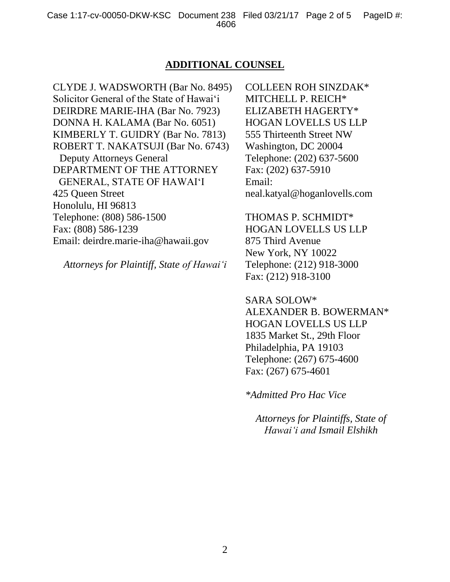## **ADDITIONAL COUNSEL**

CLYDE J. WADSWORTH (Bar No. 8495) Solicitor General of the State of Hawai'i DEIRDRE MARIE-IHA (Bar No. 7923) DONNA H. KALAMA (Bar No. 6051) KIMBERLY T. GUIDRY (Bar No. 7813) ROBERT T. NAKATSUJI (Bar No. 6743) Deputy Attorneys General DEPARTMENT OF THE ATTORNEY GENERAL, STATE OF HAWAI'I 425 Queen Street Honolulu, HI 96813 Telephone: (808) 586-1500 Fax: (808) 586-1239 Email: deirdre.marie-iha@hawaii.gov

*Attorneys for Plaintiff, State of Hawai'i*

COLLEEN ROH SINZDAK\* MITCHELL P. REICH\* ELIZABETH HAGERTY\* HOGAN LOVELLS US LLP 555 Thirteenth Street NW Washington, DC 20004 Telephone: (202) 637-5600 Fax: (202) 637-5910 Email: neal.katyal@hoganlovells.com

THOMAS P. SCHMIDT\* HOGAN LOVELLS US LLP 875 Third Avenue New York, NY 10022 Telephone: (212) 918-3000 Fax: (212) 918-3100

SARA SOLOW\* ALEXANDER B. BOWERMAN\* HOGAN LOVELLS US LLP 1835 Market St., 29th Floor Philadelphia, PA 19103 Telephone: (267) 675-4600 Fax: (267) 675-4601

*\*Admitted Pro Hac Vice*

*Attorneys for Plaintiffs, State of Hawai'i and Ismail Elshikh*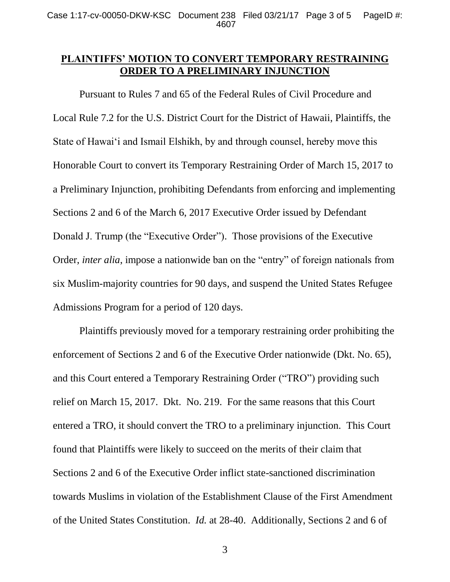## **PLAINTIFFS' MOTION TO CONVERT TEMPORARY RESTRAINING ORDER TO A PRELIMINARY INJUNCTION**

Pursuant to Rules 7 and 65 of the Federal Rules of Civil Procedure and Local Rule 7.2 for the U.S. District Court for the District of Hawaii, Plaintiffs, the State of Hawai'i and Ismail Elshikh, by and through counsel, hereby move this Honorable Court to convert its Temporary Restraining Order of March 15, 2017 to a Preliminary Injunction, prohibiting Defendants from enforcing and implementing Sections 2 and 6 of the March 6, 2017 Executive Order issued by Defendant Donald J. Trump (the "Executive Order"). Those provisions of the Executive Order, *inter alia*, impose a nationwide ban on the "entry" of foreign nationals from six Muslim-majority countries for 90 days, and suspend the United States Refugee Admissions Program for a period of 120 days.

Plaintiffs previously moved for a temporary restraining order prohibiting the enforcement of Sections 2 and 6 of the Executive Order nationwide (Dkt. No. 65), and this Court entered a Temporary Restraining Order ("TRO") providing such relief on March 15, 2017. Dkt. No. 219. For the same reasons that this Court entered a TRO, it should convert the TRO to a preliminary injunction. This Court found that Plaintiffs were likely to succeed on the merits of their claim that Sections 2 and 6 of the Executive Order inflict state-sanctioned discrimination towards Muslims in violation of the Establishment Clause of the First Amendment of the United States Constitution. *Id.* at 28-40. Additionally, Sections 2 and 6 of

3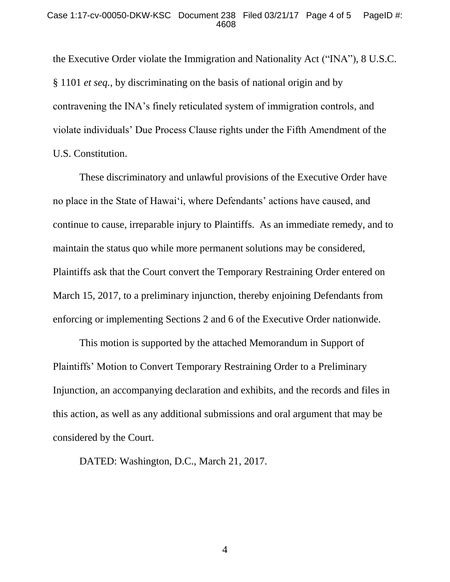the Executive Order violate the Immigration and Nationality Act ("INA"), 8 U.S.C. § 1101 *et seq.*, by discriminating on the basis of national origin and by contravening the INA's finely reticulated system of immigration controls, and violate individuals' Due Process Clause rights under the Fifth Amendment of the U.S. Constitution.

These discriminatory and unlawful provisions of the Executive Order have no place in the State of Hawai'i, where Defendants' actions have caused, and continue to cause, irreparable injury to Plaintiffs. As an immediate remedy, and to maintain the status quo while more permanent solutions may be considered, Plaintiffs ask that the Court convert the Temporary Restraining Order entered on March 15, 2017, to a preliminary injunction, thereby enjoining Defendants from enforcing or implementing Sections 2 and 6 of the Executive Order nationwide.

This motion is supported by the attached Memorandum in Support of Plaintiffs' Motion to Convert Temporary Restraining Order to a Preliminary Injunction, an accompanying declaration and exhibits, and the records and files in this action, as well as any additional submissions and oral argument that may be considered by the Court.

DATED: Washington, D.C., March 21, 2017.

4